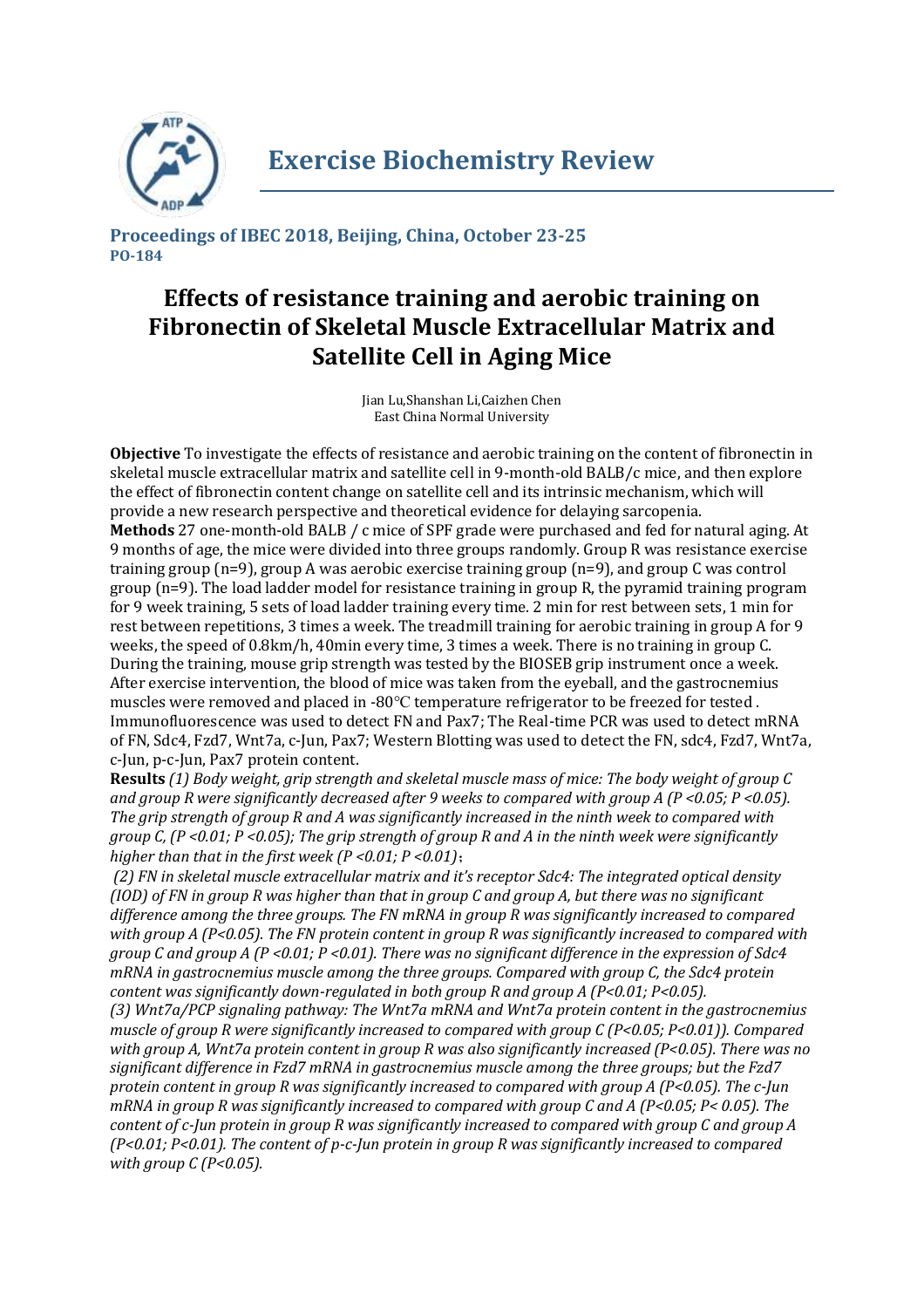

**Proceedings of IBEC 2018, Beijing, China, October 23-25 PO-184**

## **Effects of resistance training and aerobic training on Fibronectin of Skeletal Muscle Extracellular Matrix and Satellite Cell in Aging Mice**

Jian Lu,Shanshan Li,Caizhen Chen East China Normal University

**Objective** To investigate the effects of resistance and aerobic training on the content of fibronectin in skeletal muscle extracellular matrix and satellite cell in 9-month-old BALB/c mice, and then explore the effect of fibronectin content change on satellite cell and its intrinsic mechanism, which will provide a new research perspective and theoretical evidence for delaying sarcopenia. **Methods** 27 one-month-old BALB / c mice of SPF grade were purchased and fed for natural aging. At 9 months of age, the mice were divided into three groups randomly. Group R was resistance exercise training group (n=9), group A was aerobic exercise training group (n=9), and group C was control group (n=9). The load ladder model for resistance training in group R, the pyramid training program for 9 week training, 5 sets of load ladder training every time. 2 min for rest between sets, 1 min for rest between repetitions, 3 times a week. The treadmill training for aerobic training in group A for 9 weeks, the speed of 0.8km/h, 40min every time, 3 times a week. There is no training in group C. During the training, mouse grip strength was tested by the BIOSEB grip instrument once a week. After exercise intervention, the blood of mice was taken from the eyeball, and the gastrocnemius muscles were removed and placed in -80℃ temperature refrigerator to be freezed for tested . Immunofluorescence was used to detect FN and Pax7; The Real-time PCR was used to detect mRNA of FN, Sdc4, Fzd7, Wnt7a, c-Jun, Pax7; Western Blotting was used to detect the FN, sdc4, Fzd7, Wnt7a, c-Jun, p-c-Jun, Pax7 protein content.

**Results** *(1) Body weight, grip strength and skeletal muscle mass of mice: The body weight of group C and group R were significantly decreased after 9 weeks to compared with group A (P <0.05; P <0.05). The grip strength of group R and A was significantly increased in the ninth week to compared with group C, (P <0.01; P <0.05); The grip strength of group R and A in the ninth week were significantly higher than that in the first week (P <0.01; P <0.01)*;

*(2) FN in skeletal muscle extracellular matrix and it's receptor Sdc4: The integrated optical density (IOD) of FN in group R was higher than that in group C and group A, but there was no significant difference among the three groups. The FN mRNA in group R was significantly increased to compared with group A (P<0.05). The FN protein content in group R was significantly increased to compared with group C and group A (P <0.01; P <0.01). There was no significant difference in the expression of Sdc4 mRNA in gastrocnemius muscle among the three groups. Compared with group C, the Sdc4 protein content was significantly down-regulated in both group R and group A (P<0.01; P<0.05). (3) Wnt7a/PCP signaling pathway: The Wnt7a mRNA and Wnt7a protein content in the gastrocnemius muscle of group R were significantly increased to compared with group C (P<0.05; P<0.01)). Compared with group A, Wnt7a protein content in group R was also significantly increased (P<0.05). There was no significant difference in Fzd7 mRNA in gastrocnemius muscle among the three groups; but the Fzd7 protein content in group R was significantly increased to compared with group A (P<0.05). The c-Jun mRNA in group R was significantly increased to compared with group C and A (P<0.05; P< 0.05). The content of c-Jun protein in group R was significantly increased to compared with group C and group A (P<0.01; P<0.01). The content of p-c-Jun protein in group R was significantly increased to compared with group C (P<0.05).*